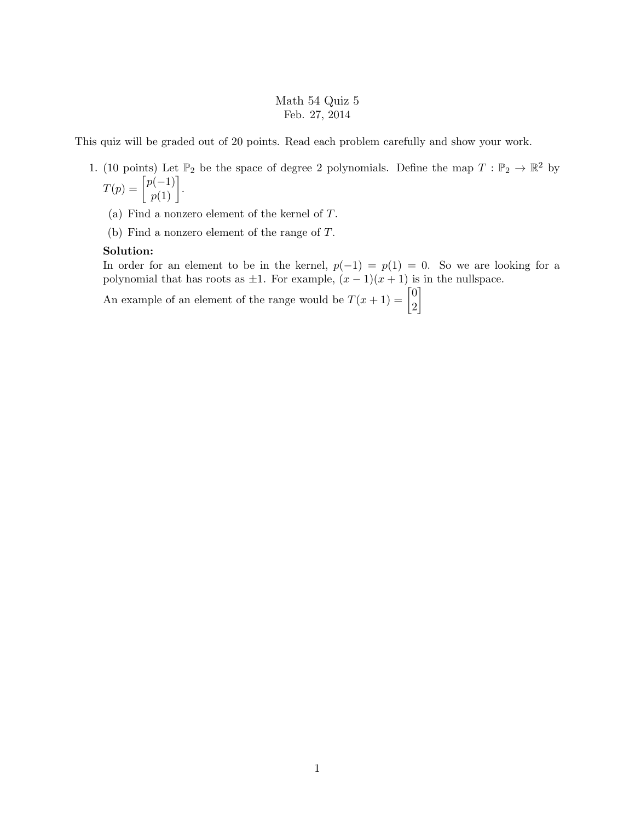## Math 54 Quiz 5 Feb. 27, 2014

This quiz will be graded out of 20 points. Read each problem carefully and show your work.

- 1. (10 points) Let  $\mathbb{P}_2$  be the space of degree 2 polynomials. Define the map  $T : \mathbb{P}_2 \to \mathbb{R}^2$  by  $T(p) = \begin{bmatrix} p(-1) \\ p(1) \end{bmatrix}.$ 
	- (a) Find a nonzero element of the kernel of T.
	- (b) Find a nonzero element of the range of T.

## Solution:

In order for an element to be in the kernel,  $p(-1) = p(1) = 0$ . So we are looking for a polynomial that has roots as  $\pm 1$ . For example,  $(x - 1)(x + 1)$  is in the nullspace.

An example of an element of the range would be  $T(x+1) = \begin{bmatrix} 0 & 0 \\ 0 & x \end{bmatrix}$ 2 1